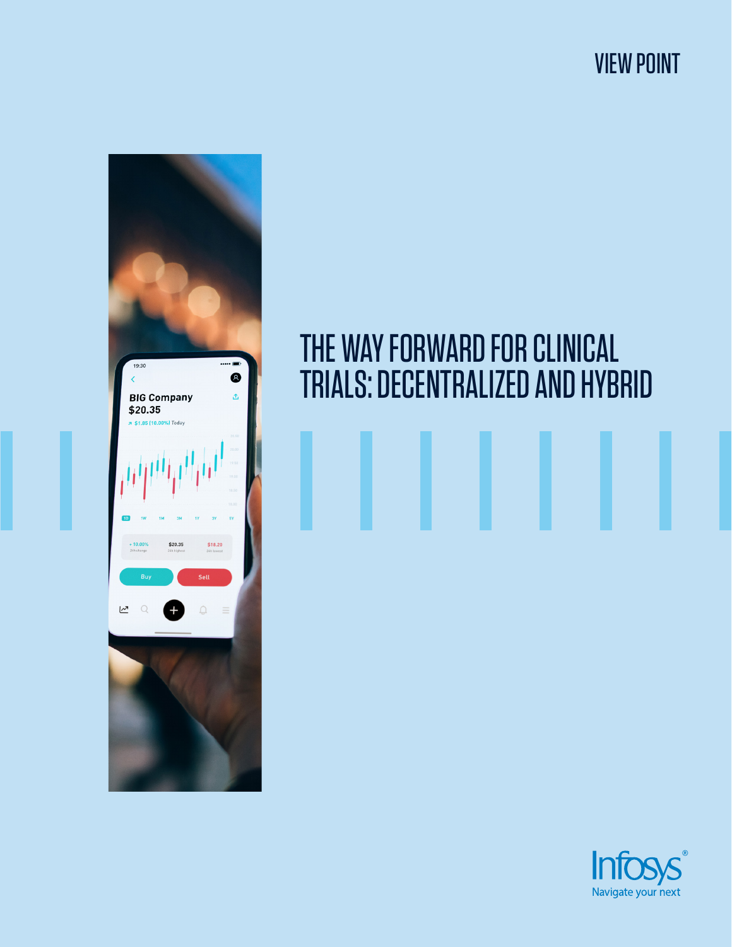VIEW POINT



# THE WAY FORWARD FOR CLINICAL TRIALS: DECENTRALIZED AND HYBRID

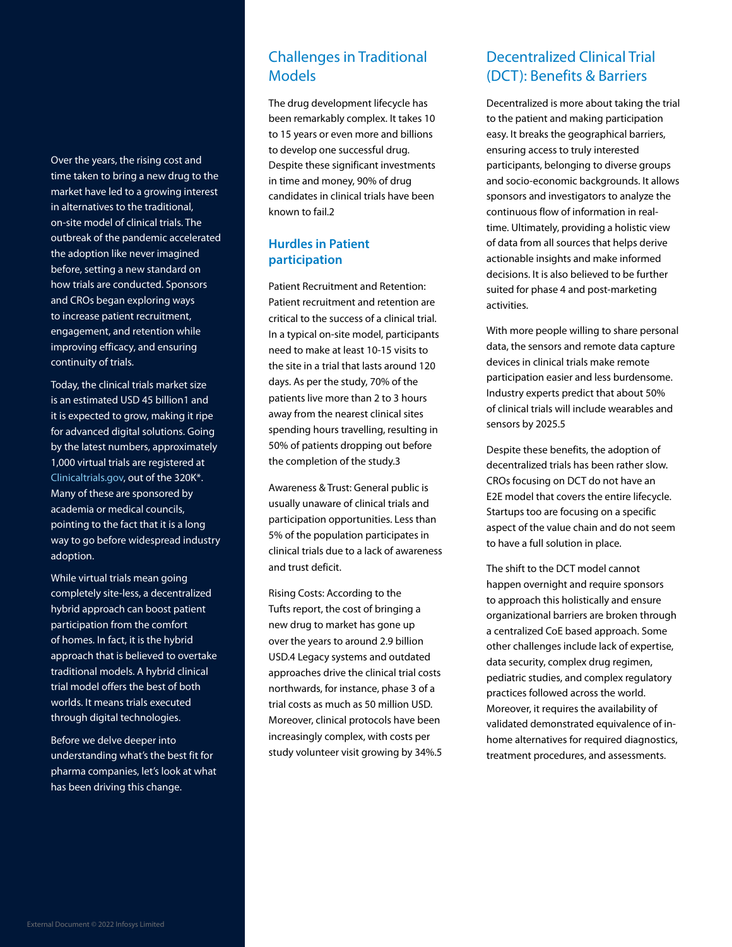Over the years, the rising cost and time taken to bring a new drug to the market have led to a growing interest in alternatives to the traditional, on-site model of clinical trials. The outbreak of the pandemic accelerated the adoption like never imagined before, setting a new standard on how trials are conducted. Sponsors and CROs began exploring ways to increase patient recruitment, engagement, and retention while improving efficacy, and ensuring continuity of trials.

Today, the clinical trials market size is an estimated USD 45 billion1 and it is expected to grow, making it ripe for advanced digital solutions. Going by the latest numbers, approximately 1,000 virtual trials are registered at [Clinicaltrials.gov](https://clinicaltrials.gov/), out of the 320K\*. Many of these are sponsored by academia or medical councils, pointing to the fact that it is a long way to go before widespread industry adoption.

While virtual trials mean going completely site-less, a decentralized hybrid approach can boost patient participation from the comfort of homes. In fact, it is the hybrid approach that is believed to overtake traditional models. A hybrid clinical trial model offers the best of both worlds. It means trials executed through digital technologies.

Before we delve deeper into understanding what's the best fit for pharma companies, let's look at what has been driving this change.

### Challenges in Traditional **Models**

The drug development lifecycle has been remarkably complex. It takes 10 to 15 years or even more and billions to develop one successful drug. Despite these significant investments in time and money, 90% of drug candidates in clinical trials have been known to fail.2

#### **Hurdles in Patient participation**

Patient Recruitment and Retention: Patient recruitment and retention are critical to the success of a clinical trial. In a typical on-site model, participants need to make at least 10-15 visits to the site in a trial that lasts around 120 days. As per the study, 70% of the patients live more than 2 to 3 hours away from the nearest clinical sites spending hours travelling, resulting in 50% of patients dropping out before the completion of the study.3

Awareness & Trust: General public is usually unaware of clinical trials and participation opportunities. Less than 5% of the population participates in clinical trials due to a lack of awareness and trust deficit.

Rising Costs: According to the Tufts report, the cost of bringing a new drug to market has gone up over the years to around 2.9 billion USD.4 Legacy systems and outdated approaches drive the clinical trial costs northwards, for instance, phase 3 of a trial costs as much as 50 million USD. Moreover, clinical protocols have been increasingly complex, with costs per study volunteer visit growing by 34%.5

## Decentralized Clinical Trial (DCT): Benefits & Barriers

Decentralized is more about taking the trial to the patient and making participation easy. It breaks the geographical barriers, ensuring access to truly interested participants, belonging to diverse groups and socio-economic backgrounds. It allows sponsors and investigators to analyze the continuous flow of information in realtime. Ultimately, providing a holistic view of data from all sources that helps derive actionable insights and make informed decisions. It is also believed to be further suited for phase 4 and post-marketing activities.

With more people willing to share personal data, the sensors and remote data capture devices in clinical trials make remote participation easier and less burdensome. Industry experts predict that about 50% of clinical trials will include wearables and sensors by 2025.5

Despite these benefits, the adoption of decentralized trials has been rather slow. CROs focusing on DCT do not have an E2E model that covers the entire lifecycle. Startups too are focusing on a specific aspect of the value chain and do not seem to have a full solution in place.

The shift to the DCT model cannot happen overnight and require sponsors to approach this holistically and ensure organizational barriers are broken through a centralized CoE based approach. Some other challenges include lack of expertise, data security, complex drug regimen, pediatric studies, and complex regulatory practices followed across the world. Moreover, it requires the availability of validated demonstrated equivalence of inhome alternatives for required diagnostics, treatment procedures, and assessments.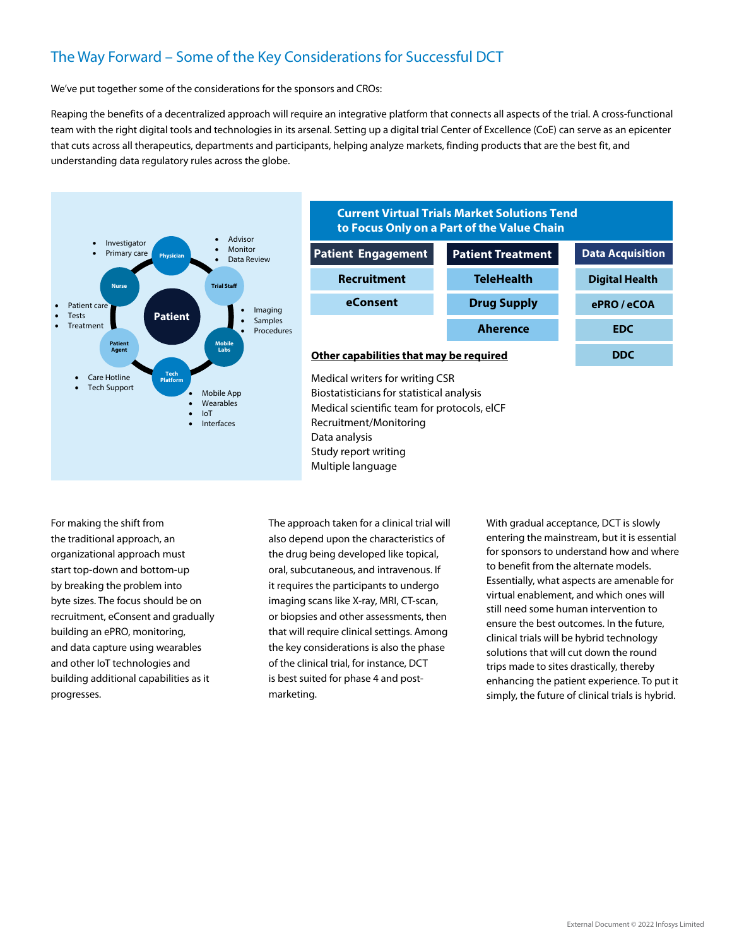# The Way Forward – Some of the Key Considerations for Successful DCT

We've put together some of the considerations for the sponsors and CROs:

Reaping the benefits of a decentralized approach will require an integrative platform that connects all aspects of the trial. A cross-functional team with the right digital tools and technologies in its arsenal. Setting up a digital trial Center of Excellence (CoE) can serve as an epicenter that cuts across all therapeutics, departments and participants, helping analyze markets, finding products that are the best fit, and understanding data regulatory rules across the globe.



#### **Current Virtual Trials Market Solutions Tend to Focus Only on a Part of the Value Chain**

| <b>Patient Engagement</b>               | <b>Patient Treatment</b> | <b>Data Acquisition</b> |
|-----------------------------------------|--------------------------|-------------------------|
| <b>Recruitment</b>                      | <b>TeleHealth</b>        | <b>Digital Health</b>   |
| eConsent                                | <b>Drug Supply</b>       | ePRO / eCOA             |
|                                         | <b>Aherence</b>          | <b>EDC</b>              |
| Other capabilities that may be required |                          |                         |

Medical writers for writing CSR Biostatisticians for statistical analysis Medical scientific team for protocols, elCF Recruitment/Monitoring Data analysis Study report writing Multiple language

For making the shift from the traditional approach, an organizational approach must start top-down and bottom-up by breaking the problem into byte sizes. The focus should be on recruitment, eConsent and gradually building an ePRO, monitoring, and data capture using wearables and other IoT technologies and building additional capabilities as it progresses.

The approach taken for a clinical trial will also depend upon the characteristics of the drug being developed like topical, oral, subcutaneous, and intravenous. If it requires the participants to undergo imaging scans like X-ray, MRI, CT-scan, or biopsies and other assessments, then that will require clinical settings. Among the key considerations is also the phase of the clinical trial, for instance, DCT is best suited for phase 4 and postmarketing.

With gradual acceptance, DCT is slowly entering the mainstream, but it is essential for sponsors to understand how and where to benefit from the alternate models. Essentially, what aspects are amenable for virtual enablement, and which ones will still need some human intervention to ensure the best outcomes. In the future, clinical trials will be hybrid technology solutions that will cut down the round trips made to sites drastically, thereby enhancing the patient experience. To put it simply, the future of clinical trials is hybrid.